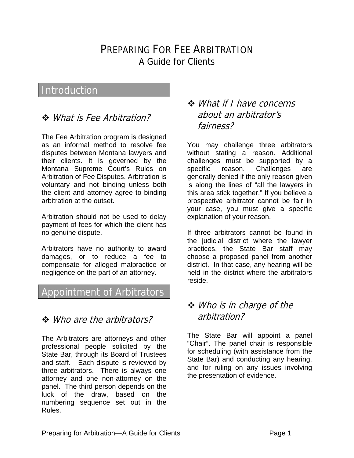# PREPARING FOR FEE ARBITRATION A Guide for Clients

# Introduction

### What is Fee Arbitration?

The Fee Arbitration program is designed as an informal method to resolve fee disputes between Montana lawyers and their clients. It is governed by the Montana Supreme Court's Rules on Arbitration of Fee Disputes. Arbitration is voluntary and not binding unless both the client and attorney agree to binding arbitration at the outset.

Arbitration should not be used to delay payment of fees for which the client has no genuine dispute.

Arbitrators have no authority to award damages, or to reduce a fee to compensate for alleged malpractice or negligence on the part of an attorney.

#### Appointment of Arbitrators

#### Who are the arbitrators?

The Arbitrators are attorneys and other professional people solicited by the State Bar, through its Board of Trustees and staff. Each dispute is reviewed by three arbitrators. There is always one attorney and one non-attorney on the panel. The third person depends on the luck of the draw, based on the numbering sequence set out in the Rules.

#### What if I have concerns about an arbitrator's fairness?

You may challenge three arbitrators without stating a reason. Additional challenges must be supported by a specific reason. Challenges are generally denied if the only reason given is along the lines of "all the lawyers in this area stick together." If you believe a prospective arbitrator cannot be fair in your case, you must give a specific explanation of your reason.

If three arbitrators cannot be found in the judicial district where the lawyer practices, the State Bar staff may choose a proposed panel from another district. In that case, any hearing will be held in the district where the arbitrators reside.

#### Who is in charge of the arbitration?

The State Bar will appoint a panel "Chair". The panel chair is responsible for scheduling (with assistance from the State Bar) and conducting any hearing, and for ruling on any issues involving the presentation of evidence.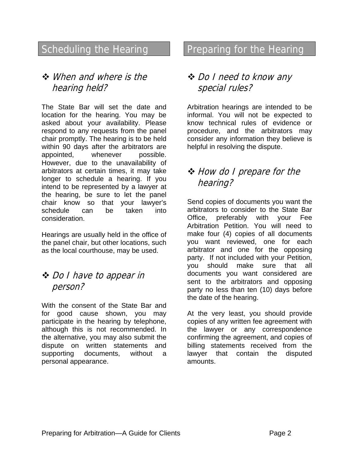# Scheduling the Hearing

### When and where is the hearing held?

The State Bar will set the date and location for the hearing. You may be asked about your availability. Please respond to any requests from the panel chair promptly. The hearing is to be held within 90 days after the arbitrators are appointed, whenever possible. However, due to the unavailability of arbitrators at certain times, it may take longer to schedule a hearing. If you intend to be represented by a lawyer at the hearing, be sure to let the panel chair know so that your lawyer's schedule can be taken into consideration.

Hearings are usually held in the office of the panel chair, but other locations, such as the local courthouse, may be used.

#### Do I have to appear in person?

With the consent of the State Bar and for good cause shown, you may participate in the hearing by telephone, although this is not recommended. In the alternative, you may also submit the dispute on written statements and supporting documents, without a personal appearance.

# Preparing for the Hearing

# Do I need to know any special rules?

Arbitration hearings are intended to be informal. You will not be expected to know technical rules of evidence or procedure, and the arbitrators may consider any information they believe is helpful in resolving the dispute.

# $\triangle$  How do I prepare for the hearing?

Send copies of documents you want the arbitrators to consider to the State Bar Office, preferably with your Fee Arbitration Petition. You will need to make four (4) copies of all documents you want reviewed, one for each arbitrator and one for the opposing party. If not included with your Petition, you should make sure that all documents you want considered are sent to the arbitrators and opposing party no less than ten (10) days before the date of the hearing.

At the very least, you should provide copies of any written fee agreement with the lawyer or any correspondence confirming the agreement, and copies of billing statements received from the lawyer that contain the disputed amounts.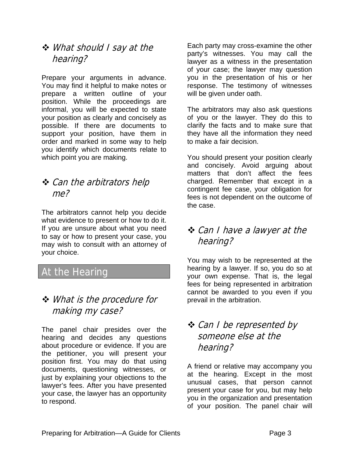### What should I say at the hearing?

Prepare your arguments in advance. You may find it helpful to make notes or prepare a written outline of your position. While the proceedings are informal, you will be expected to state your position as clearly and concisely as possible. If there are documents to support your position, have them in order and marked in some way to help you identify which documents relate to which point you are making.

## **❖** Can the arbitrators help me?

The arbitrators cannot help you decide what evidence to present or how to do it. If you are unsure about what you need to say or how to present your case, you may wish to consult with an attorney of your choice.

# At the Hearing

# What is the procedure for making my case?

The panel chair presides over the hearing and decides any questions about procedure or evidence. If you are the petitioner, you will present your position first. You may do that using documents, questioning witnesses, or just by explaining your objections to the lawyer's fees. After you have presented your case, the lawyer has an opportunity to respond.

Each party may cross-examine the other party's witnesses. You may call the lawyer as a witness in the presentation of your case; the lawyer may question you in the presentation of his or her response. The testimony of witnesses will be given under oath.

The arbitrators may also ask questions of you or the lawyer. They do this to clarify the facts and to make sure that they have all the information they need to make a fair decision.

You should present your position clearly and concisely. Avoid arguing about matters that don't affect the fees charged. Remember that except in a contingent fee case, your obligation for fees is not dependent on the outcome of the case.

# Can I have a lawyer at the hearing?

You may wish to be represented at the hearing by a lawyer. If so, you do so at your own expense. That is, the legal fees for being represented in arbitration cannot be awarded to you even if you prevail in the arbitration.

# $\triangle$  Can I be represented by someone else at the hearing?

A friend or relative may accompany you at the hearing. Except in the most unusual cases, that person cannot present your case for you, but may help you in the organization and presentation of your position. The panel chair will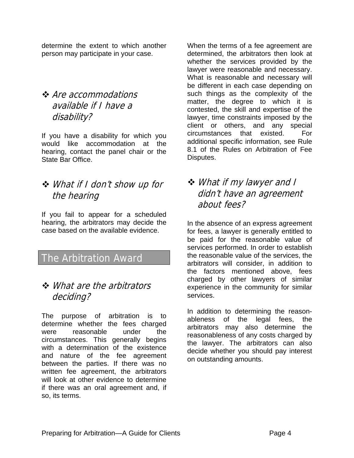determine the extent to which another person may participate in your case.

## **❖** Are accommodations available if I have a disability?

If you have a disability for which you would like accommodation at the hearing, contact the panel chair or the State Bar Office.

# What if I don't show up for the hearing

If you fail to appear for a scheduled hearing, the arbitrators may decide the case based on the available evidence.

# The Arbitration Award

### **❖** *What are the arbitrators* deciding?

The purpose of arbitration is to determine whether the fees charged were reasonable under the circumstances. This generally begins with a determination of the existence and nature of the fee agreement between the parties. If there was no written fee agreement, the arbitrators will look at other evidence to determine if there was an oral agreement and, if so, its terms.

When the terms of a fee agreement are determined, the arbitrators then look at whether the services provided by the lawyer were reasonable and necessary. What is reasonable and necessary will be different in each case depending on such things as the complexity of the matter, the degree to which it is contested, the skill and expertise of the lawyer, time constraints imposed by the client or others, and any special circumstances that existed. For additional specific information, see Rule 8.1 of the Rules on Arbitration of Fee Disputes.

### What if my lawyer and I didn't have an agreement about fees?

In the absence of an express agreement for fees, a lawyer is generally entitled to be paid for the reasonable value of services performed. In order to establish the reasonable value of the services, the arbitrators will consider, in addition to the factors mentioned above, fees charged by other lawyers of similar experience in the community for similar services.

In addition to determining the reasonableness of the legal fees, the arbitrators may also determine the reasonableness of any costs charged by the lawyer. The arbitrators can also decide whether you should pay interest on outstanding amounts.